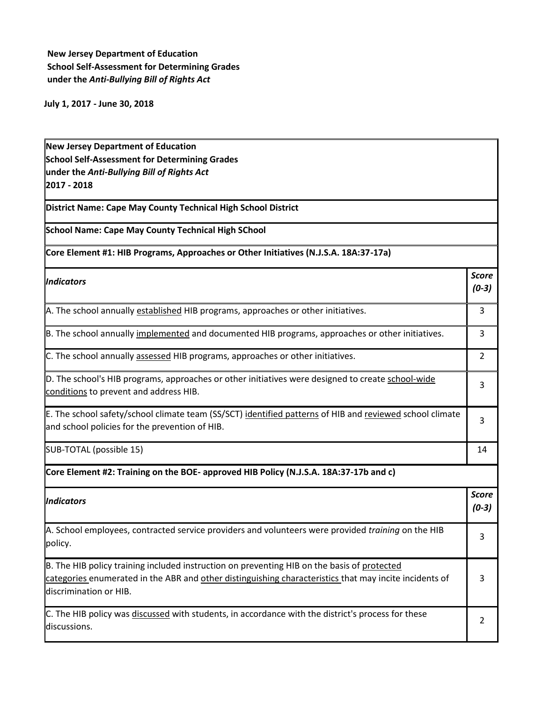**New Jersey Department of Education School Self-Assessment for Determining Grades under the** *Anti-Bullying Bill of Rights Act*

**July 1, 2017 - June 30, 2018**

**New Jersey Department of Education School Self-Assessment for Determining Grades under the** *Anti-Bullying Bill of Rights Act* **2017 - 2018**

**District Name: Cape May County Technical High School District**

**School Name: Cape May County Technical High SChool**

## **Core Element #1: HIB Programs, Approaches or Other Initiatives (N.J.S.A. 18A:37-17a)**

| Indicators                                                                                                                                                 | <b>Score</b><br>$(0-3)$ |
|------------------------------------------------------------------------------------------------------------------------------------------------------------|-------------------------|
| A. The school annually established HIB programs, approaches or other initiatives.                                                                          | 3                       |
| B. The school annually implemented and documented HIB programs, approaches or other initiatives.                                                           | 3                       |
| C. The school annually assessed HIB programs, approaches or other initiatives.                                                                             | 2                       |
| D. The school's HIB programs, approaches or other initiatives were designed to create school-wide<br>conditions to prevent and address HIB.                | 3                       |
| E. The school safety/school climate team (SS/SCT) identified patterns of HIB and reviewed school climate<br>and school policies for the prevention of HIB. | 3                       |
| SUB-TOTAL (possible 15)                                                                                                                                    | 14                      |

**Core Element #2: Training on the BOE- approved HIB Policy (N.J.S.A. 18A:37-17b and c)**

| <i><u><b>Indicators</b></u></i>                                                                                                                                                                                                 | <b>Score</b><br>$(0-3)$ |
|---------------------------------------------------------------------------------------------------------------------------------------------------------------------------------------------------------------------------------|-------------------------|
| A. School employees, contracted service providers and volunteers were provided <i>training</i> on the HIB<br>policy.                                                                                                            |                         |
| B. The HIB policy training included instruction on preventing HIB on the basis of protected<br>categories enumerated in the ABR and other distinguishing characteristics that may incite incidents of<br>discrimination or HIB. |                         |
| C. The HIB policy was discussed with students, in accordance with the district's process for these<br>discussions.                                                                                                              |                         |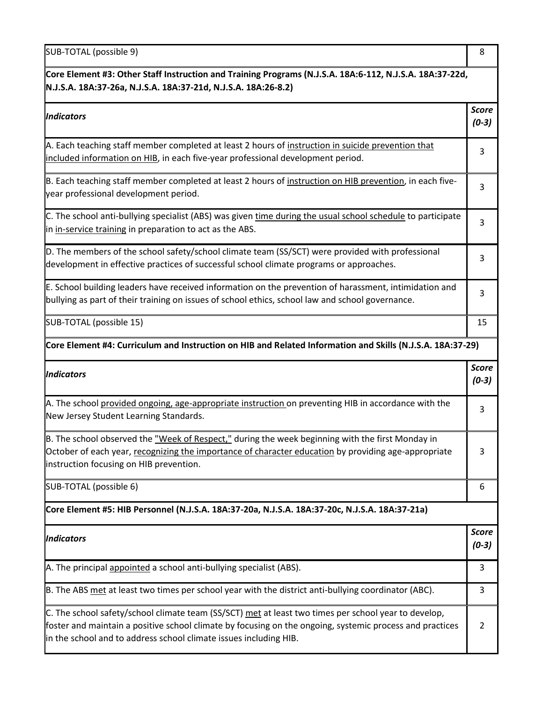SUB-TOTAL (possible 9) 8

| Core Element #3: Other Staff Instruction and Training Programs (N.J.S.A. 18A:6-112, N.J.S.A. 18A:37-22d,<br>N.J.S.A. 18A:37-26a, N.J.S.A. 18A:37-21d, N.J.S.A. 18A:26-8.2)                                                                          |                         |
|-----------------------------------------------------------------------------------------------------------------------------------------------------------------------------------------------------------------------------------------------------|-------------------------|
| <b>Indicators</b>                                                                                                                                                                                                                                   | <b>Score</b><br>$(0-3)$ |
| A. Each teaching staff member completed at least 2 hours of instruction in suicide prevention that<br>included information on HIB, in each five-year professional development period.                                                               | 3                       |
| B. Each teaching staff member completed at least 2 hours of instruction on HIB prevention, in each five-<br>year professional development period.                                                                                                   | 3                       |
| C. The school anti-bullying specialist (ABS) was given time during the usual school schedule to participate<br>in in-service training in preparation to act as the ABS.                                                                             | 3                       |
| D. The members of the school safety/school climate team (SS/SCT) were provided with professional<br>development in effective practices of successful school climate programs or approaches.                                                         | 3                       |
| E. School building leaders have received information on the prevention of harassment, intimidation and<br>bullying as part of their training on issues of school ethics, school law and school governance.                                          | 3                       |
| SUB-TOTAL (possible 15)                                                                                                                                                                                                                             | 15                      |
| Core Element #4: Curriculum and Instruction on HIB and Related Information and Skills (N.J.S.A. 18A:37-29)                                                                                                                                          |                         |
| <b>Indicators</b>                                                                                                                                                                                                                                   | <b>Score</b><br>$(0-3)$ |
| A. The school provided ongoing, age-appropriate instruction on preventing HIB in accordance with the<br>New Jersey Student Learning Standards.                                                                                                      | 3                       |
| B. The school observed the "Week of Respect," during the week beginning with the first Monday in<br>October of each year, recognizing the importance of character education by providing age-appropriate<br>instruction focusing on HIB prevention. | 3                       |
| SUB-TOTAL (possible 6)                                                                                                                                                                                                                              | 6                       |
| Core Element #5: HIB Personnel (N.J.S.A. 18A:37-20a, N.J.S.A. 18A:37-20c, N.J.S.A. 18A:37-21a)                                                                                                                                                      |                         |
| <b>Indicators</b>                                                                                                                                                                                                                                   | <b>Score</b><br>$(0-3)$ |
| A. The principal appointed a school anti-bullying specialist (ABS).                                                                                                                                                                                 | 3                       |

B. The ABS met at least two times per school year with the district anti-bullying coordinator (ABC). 3

| C. The school safety/school climate team (SS/SCT) met at least two times per school year to develop,     |  |
|----------------------------------------------------------------------------------------------------------|--|
| foster and maintain a positive school climate by focusing on the ongoing, systemic process and practices |  |
| in the school and to address school climate issues including HIB.                                        |  |